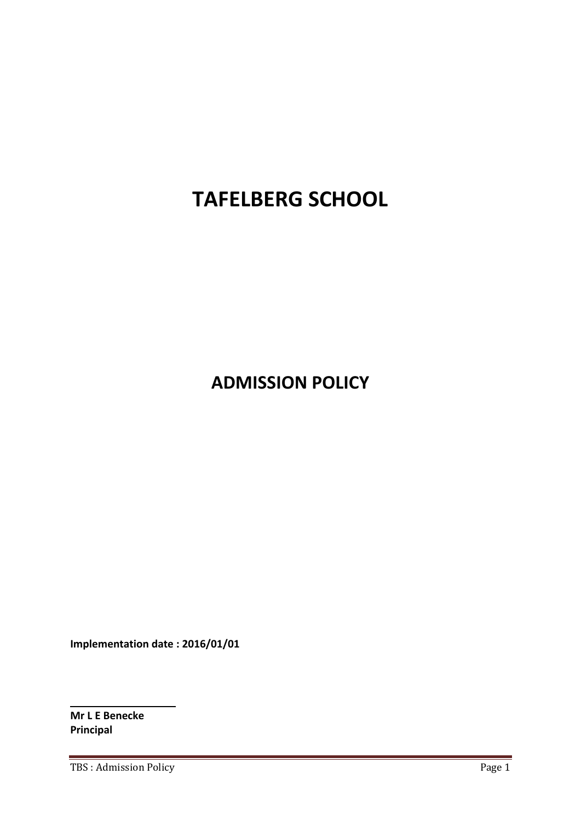# **TAFELBERG SCHOOL**

# **ADMISSION POLICY**

**Implementation date : 2016/01/01**

**Mr L E Benecke Principal**

TBS: Admission Policy Page 1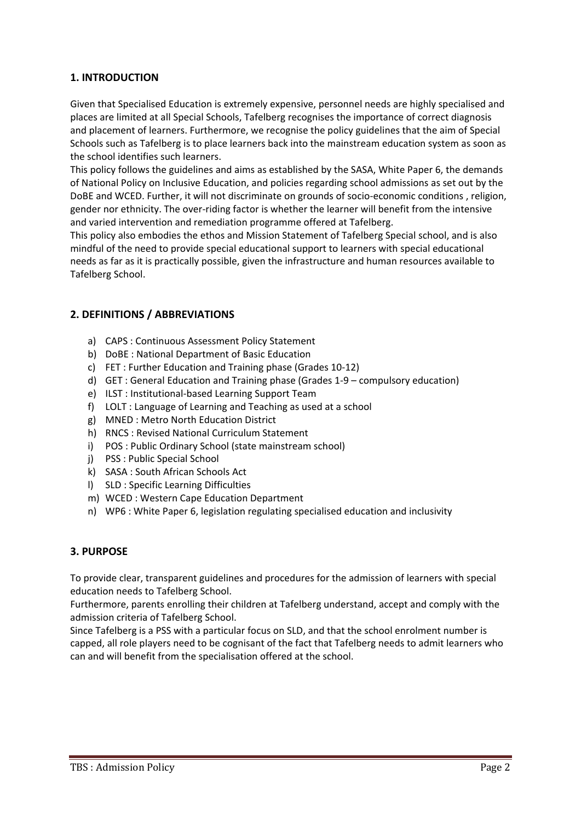# **1. INTRODUCTION**

Given that Specialised Education is extremely expensive, personnel needs are highly specialised and places are limited at all Special Schools, Tafelberg recognises the importance of correct diagnosis and placement of learners. Furthermore, we recognise the policy guidelines that the aim of Special Schools such as Tafelberg is to place learners back into the mainstream education system as soon as the school identifies such learners.

This policy follows the guidelines and aims as established by the SASA, White Paper 6, the demands of National Policy on Inclusive Education, and policies regarding school admissions as set out by the DoBE and WCED. Further, it will not discriminate on grounds of socio-economic conditions, religion, gender nor ethnicity. The over-riding factor is whether the learner will benefit from the intensive and varied intervention and remediation programme offered at Tafelberg.

This policy also embodies the ethos and Mission Statement of Tafelberg Special school, and is also mindful of the need to provide special educational support to learners with special educational needs as far as it is practically possible, given the infrastructure and human resources available to Tafelberg School.

# **2. DEFINITIONS / ABBREVIATIONS**

- a) CAPS : Continuous Assessment Policy Statement
- b) DoBE : National Department of Basic Education
- c) FET : Further Education and Training phase (Grades 10‐12)
- d) GET : General Education and Training phase (Grades 1‐9 compulsory education)
- e) ILST : Institutional‐based Learning Support Team
- f) LOLT : Language of Learning and Teaching as used at a school
- g) MNED : Metro North Education District
- h) RNCS : Revised National Curriculum Statement
- i) POS : Public Ordinary School (state mainstream school)
- j) PSS : Public Special School
- k) SASA : South African Schools Act
- l) SLD : Specific Learning Difficulties
- m) WCED : Western Cape Education Department
- n) WP6 : White Paper 6, legislation regulating specialised education and inclusivity

#### **3. PURPOSE**

To provide clear, transparent guidelines and procedures for the admission of learners with special education needs to Tafelberg School.

Furthermore, parents enrolling their children at Tafelberg understand, accept and comply with the admission criteria of Tafelberg School.

Since Tafelberg is a PSS with a particular focus on SLD, and that the school enrolment number is capped, all role players need to be cognisant of the fact that Tafelberg needs to admit learners who can and will benefit from the specialisation offered at the school.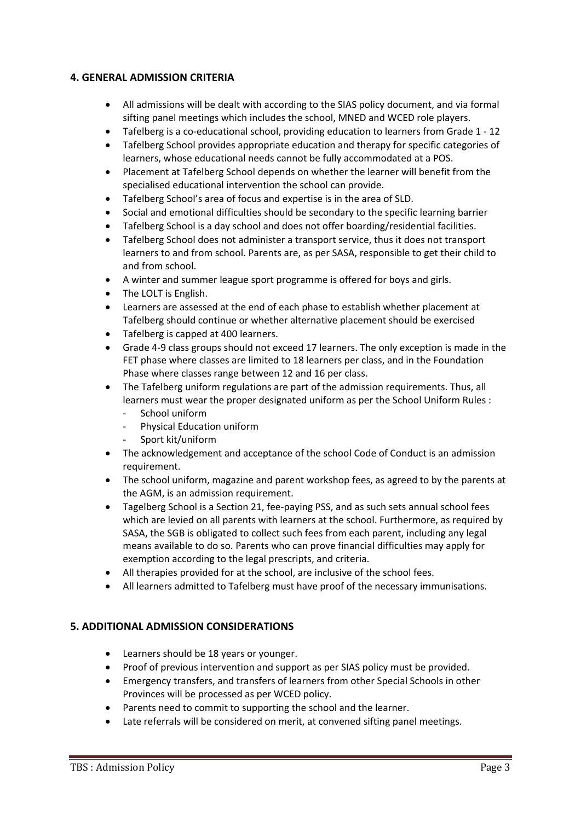#### **4. GENERAL ADMISSION CRITERIA**

- All admissions will be dealt with according to the SIAS policy document, and via formal sifting panel meetings which includes the school, MNED and WCED role players.
- Tafelberg is a co‐educational school, providing education to learners from Grade 1 ‐ 12
- Tafelberg School provides appropriate education and therapy for specific categories of learners, whose educational needs cannot be fully accommodated at a POS.
- Placement at Tafelberg School depends on whether the learner will benefit from the specialised educational intervention the school can provide.
- Tafelberg School's area of focus and expertise is in the area of SLD.
- Social and emotional difficulties should be secondary to the specific learning barrier
- Tafelberg School is a day school and does not offer boarding/residential facilities.
- Tafelberg School does not administer a transport service, thus it does not transport learners to and from school. Parents are, as per SASA, responsible to get their child to and from school.
- A winter and summer league sport programme is offered for boys and girls.
- The LOLT is English.
- Learners are assessed at the end of each phase to establish whether placement at Tafelberg should continue or whether alternative placement should be exercised
- Tafelberg is capped at 400 learners.
- Grade 4‐9 class groups should not exceed 17 learners. The only exception is made in the FET phase where classes are limited to 18 learners per class, and in the Foundation Phase where classes range between 12 and 16 per class.
- The Tafelberg uniform regulations are part of the admission requirements. Thus, all learners must wear the proper designated uniform as per the School Uniform Rules :
	- ‐ School uniform
	- ‐ Physical Education uniform
	- ‐ Sport kit/uniform
- The acknowledgement and acceptance of the school Code of Conduct is an admission requirement.
- The school uniform, magazine and parent workshop fees, as agreed to by the parents at the AGM, is an admission requirement.
- Tagelberg School is a Section 21, fee‐paying PSS, and as such sets annual school fees which are levied on all parents with learners at the school. Furthermore, as required by SASA, the SGB is obligated to collect such fees from each parent, including any legal means available to do so. Parents who can prove financial difficulties may apply for exemption according to the legal prescripts, and criteria.
- All therapies provided for at the school, are inclusive of the school fees.
- All learners admitted to Tafelberg must have proof of the necessary immunisations.

#### **5. ADDITIONAL ADMISSION CONSIDERATIONS**

- Learners should be 18 years or younger.
- Proof of previous intervention and support as per SIAS policy must be provided.
- Emergency transfers, and transfers of learners from other Special Schools in other Provinces will be processed as per WCED policy.
- Parents need to commit to supporting the school and the learner.
- Late referrals will be considered on merit, at convened sifting panel meetings.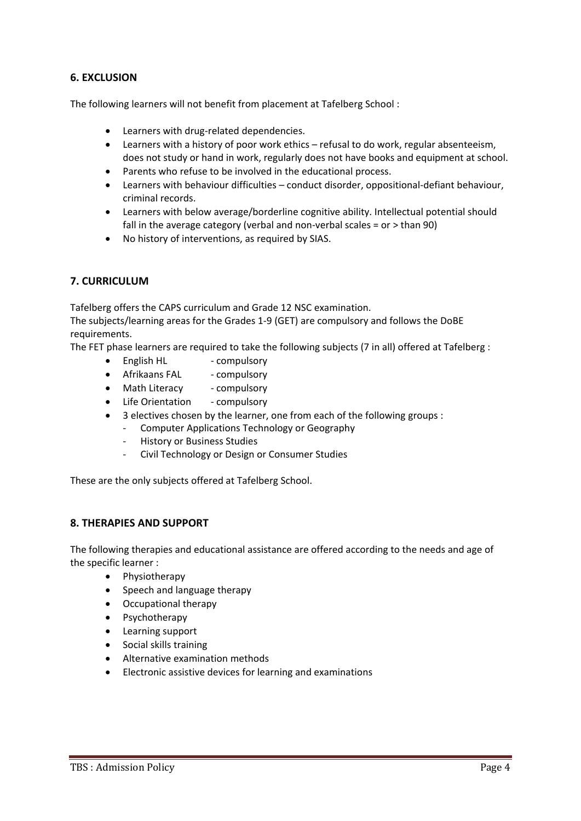#### **6. EXCLUSION**

The following learners will not benefit from placement at Tafelberg School :

- Learners with drug‐related dependencies.
- Learners with a history of poor work ethics refusal to do work, regular absenteeism, does not study or hand in work, regularly does not have books and equipment at school.
- Parents who refuse to be involved in the educational process.
- Learners with behaviour difficulties conduct disorder, oppositional-defiant behaviour, criminal records.
- Learners with below average/borderline cognitive ability. Intellectual potential should fall in the average category (verbal and non-verbal scales = or > than 90)
- No history of interventions, as required by SIAS.

#### **7. CURRICULUM**

Tafelberg offers the CAPS curriculum and Grade 12 NSC examination. The subjects/learning areas for the Grades 1‐9 (GET) are compulsory and follows the DoBE requirements.

The FET phase learners are required to take the following subjects (7 in all) offered at Tafelberg :

- English HL ‐ compulsory
- Afrikaans FAL compulsory
- Math Literacy compulsory
- Life Orientation compulsory
- 3 electives chosen by the learner, one from each of the following groups :
	- ‐ Computer Applications Technology or Geography
	- ‐ History or Business Studies
	- ‐ Civil Technology or Design or Consumer Studies

These are the only subjects offered at Tafelberg School.

#### **8. THERAPIES AND SUPPORT**

The following therapies and educational assistance are offered according to the needs and age of the specific learner :

- Physiotherapy
- Speech and language therapy
- Occupational therapy
- Psychotherapy
- Learning support
- Social skills training
- Alternative examination methods
- Electronic assistive devices for learning and examinations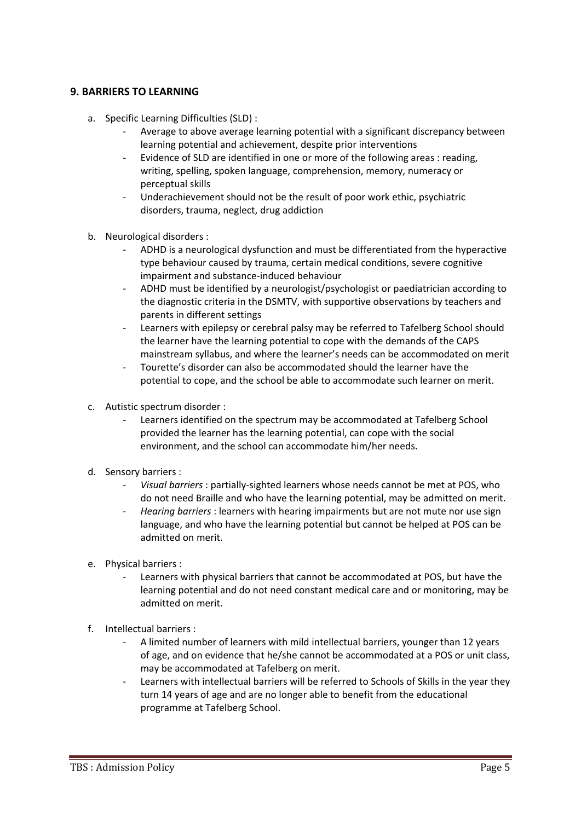#### **9. BARRIERS TO LEARNING**

- a. Specific Learning Difficulties (SLD) :
	- ‐ Average to above average learning potential with a significant discrepancy between learning potential and achievement, despite prior interventions
	- Evidence of SLD are identified in one or more of the following areas : reading, writing, spelling, spoken language, comprehension, memory, numeracy or perceptual skills
	- Underachievement should not be the result of poor work ethic, psychiatric disorders, trauma, neglect, drug addiction
- b. Neurological disorders :
	- ‐ ADHD is a neurological dysfunction and must be differentiated from the hyperactive type behaviour caused by trauma, certain medical conditions, severe cognitive impairment and substance‐induced behaviour
	- ‐ ADHD must be identified by a neurologist/psychologist or paediatrician according to the diagnostic criteria in the DSMTV, with supportive observations by teachers and parents in different settings
	- ‐ Learners with epilepsy or cerebral palsy may be referred to Tafelberg School should the learner have the learning potential to cope with the demands of the CAPS mainstream syllabus, and where the learner's needs can be accommodated on merit
	- ‐ Tourette's disorder can also be accommodated should the learner have the potential to cope, and the school be able to accommodate such learner on merit.
- c. Autistic spectrum disorder :
	- Learners identified on the spectrum may be accommodated at Tafelberg School provided the learner has the learning potential, can cope with the social environment, and the school can accommodate him/her needs.
- d. Sensory barriers :
	- ‐ *Visual barriers* : partially‐sighted learners whose needs cannot be met at POS, who do not need Braille and who have the learning potential, may be admitted on merit.
	- ‐ *Hearing barriers* : learners with hearing impairments but are not mute nor use sign language, and who have the learning potential but cannot be helped at POS can be admitted on merit.
- e. Physical barriers :
	- ‐ Learners with physical barriers that cannot be accommodated at POS, but have the learning potential and do not need constant medical care and or monitoring, may be admitted on merit.
- f. Intellectual barriers :
	- ‐ A limited number of learners with mild intellectual barriers, younger than 12 years of age, and on evidence that he/she cannot be accommodated at a POS or unit class, may be accommodated at Tafelberg on merit.
	- ‐ Learners with intellectual barriers will be referred to Schools of Skills in the year they turn 14 years of age and are no longer able to benefit from the educational programme at Tafelberg School.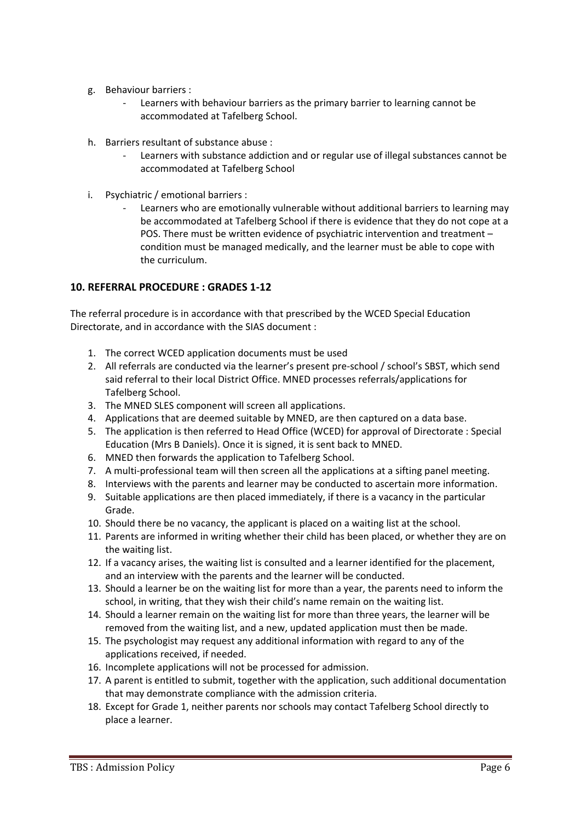- g. Behaviour barriers :
	- ‐ Learners with behaviour barriers as the primary barrier to learning cannot be accommodated at Tafelberg School.
- h. Barriers resultant of substance abuse :
	- ‐ Learners with substance addiction and or regular use of illegal substances cannot be accommodated at Tafelberg School
- i. Psychiatric / emotional barriers :
	- ‐ Learners who are emotionally vulnerable without additional barriers to learning may be accommodated at Tafelberg School if there is evidence that they do not cope at a POS. There must be written evidence of psychiatric intervention and treatment – condition must be managed medically, and the learner must be able to cope with the curriculum.

# **10. REFERRAL PROCEDURE : GRADES 1‐12**

The referral procedure is in accordance with that prescribed by the WCED Special Education Directorate, and in accordance with the SIAS document :

- 1. The correct WCED application documents must be used
- 2. All referrals are conducted via the learner's present pre-school / school's SBST, which send said referral to their local District Office. MNED processes referrals/applications for Tafelberg School.
- 3. The MNED SLES component will screen all applications.
- 4. Applications that are deemed suitable by MNED, are then captured on a data base.
- 5. The application is then referred to Head Office (WCED) for approval of Directorate : Special Education (Mrs B Daniels). Once it is signed, it is sent back to MNED.
- 6. MNED then forwards the application to Tafelberg School.
- 7. A multi-professional team will then screen all the applications at a sifting panel meeting.
- 8. Interviews with the parents and learner may be conducted to ascertain more information.
- 9. Suitable applications are then placed immediately, if there is a vacancy in the particular Grade.
- 10. Should there be no vacancy, the applicant is placed on a waiting list at the school.
- 11. Parents are informed in writing whether their child has been placed, or whether they are on the waiting list.
- 12. If a vacancy arises, the waiting list is consulted and a learner identified for the placement, and an interview with the parents and the learner will be conducted.
- 13. Should a learner be on the waiting list for more than a year, the parents need to inform the school, in writing, that they wish their child's name remain on the waiting list.
- 14. Should a learner remain on the waiting list for more than three years, the learner will be removed from the waiting list, and a new, updated application must then be made.
- 15. The psychologist may request any additional information with regard to any of the applications received, if needed.
- 16. Incomplete applications will not be processed for admission.
- 17. A parent is entitled to submit, together with the application, such additional documentation that may demonstrate compliance with the admission criteria.
- 18. Except for Grade 1, neither parents nor schools may contact Tafelberg School directly to place a learner.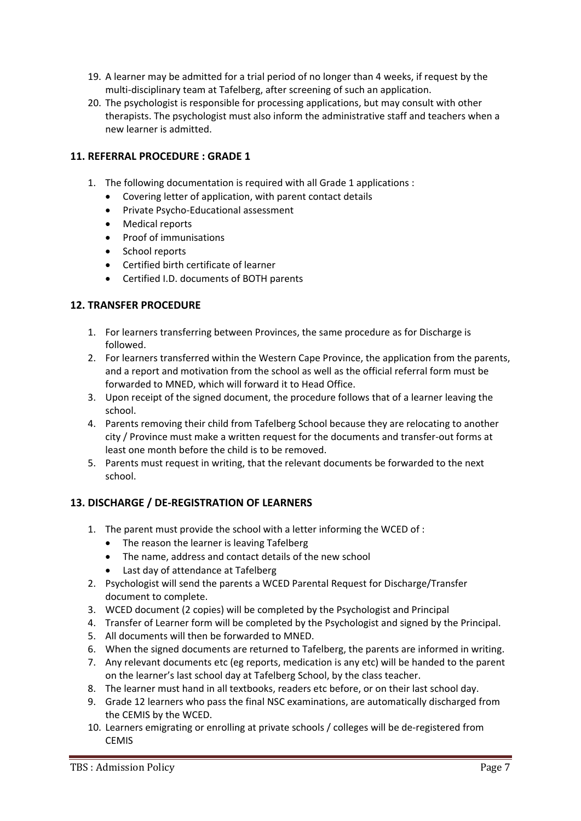- 19. A learner may be admitted for a trial period of no longer than 4 weeks, if request by the multi-disciplinary team at Tafelberg, after screening of such an application.
- 20. The psychologist is responsible for processing applications, but may consult with other therapists. The psychologist must also inform the administrative staff and teachers when a new learner is admitted.

# **11. REFERRAL PROCEDURE : GRADE 1**

- 1. The following documentation is required with all Grade 1 applications :
	- Covering letter of application, with parent contact details
	- Private Psycho-Educational assessment
	- Medical reports
	- Proof of immunisations
	- School reports
	- Certified birth certificate of learner
	- Certified I.D. documents of BOTH parents

# **12. TRANSFER PROCEDURE**

- 1. For learners transferring between Provinces, the same procedure as for Discharge is followed.
- 2. For learners transferred within the Western Cape Province, the application from the parents, and a report and motivation from the school as well as the official referral form must be forwarded to MNED, which will forward it to Head Office.
- 3. Upon receipt of the signed document, the procedure follows that of a learner leaving the school.
- 4. Parents removing their child from Tafelberg School because they are relocating to another city / Province must make a written request for the documents and transfer‐out forms at least one month before the child is to be removed.
- 5. Parents must request in writing, that the relevant documents be forwarded to the next school.

# **13. DISCHARGE / DE‐REGISTRATION OF LEARNERS**

- 1. The parent must provide the school with a letter informing the WCED of :
	- The reason the learner is leaving Tafelberg
	- The name, address and contact details of the new school
	- Last day of attendance at Tafelberg
- 2. Psychologist will send the parents a WCED Parental Request for Discharge/Transfer document to complete.
- 3. WCED document (2 copies) will be completed by the Psychologist and Principal
- 4. Transfer of Learner form will be completed by the Psychologist and signed by the Principal.
- 5. All documents will then be forwarded to MNED.
- 6. When the signed documents are returned to Tafelberg, the parents are informed in writing.
- 7. Any relevant documents etc (eg reports, medication is any etc) will be handed to the parent on the learner's last school day at Tafelberg School, by the class teacher.
- 8. The learner must hand in all textbooks, readers etc before, or on their last school day.
- 9. Grade 12 learners who pass the final NSC examinations, are automatically discharged from the CEMIS by the WCED.
- 10. Learners emigrating or enrolling at private schools / colleges will be de-registered from CEMIS